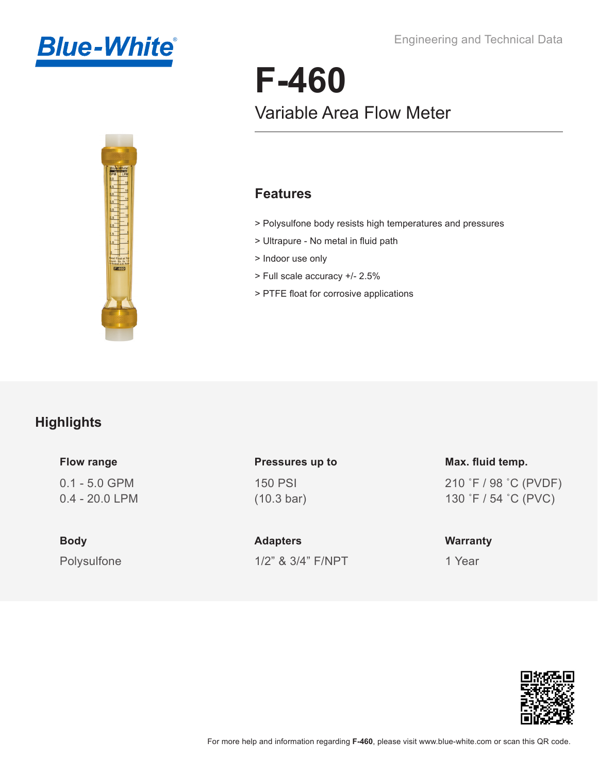



# **F-460** Variable Area Flow Meter

#### **Features**

- > Polysulfone body resists high temperatures and pressures
- > Ultrapure No metal in fluid path
- > Indoor use only
- > Full scale accuracy +/- 2.5%
- > PTFE float for corrosive applications

#### **Highlights**

#### **Flow range**

0.1 - 5.0 GPM 0.4 - 20.0 LPM

Polysulfone **Body**

150 PSI (10.3 bar) **Pressures up to**

1/2" & 3/4" F/NPT **Adapters**

210 ˚F / 98 ˚C (PVDF) 130 ˚F / 54 ˚C (PVC) **Max. fluid temp.**

#### **Warranty**

1 Year

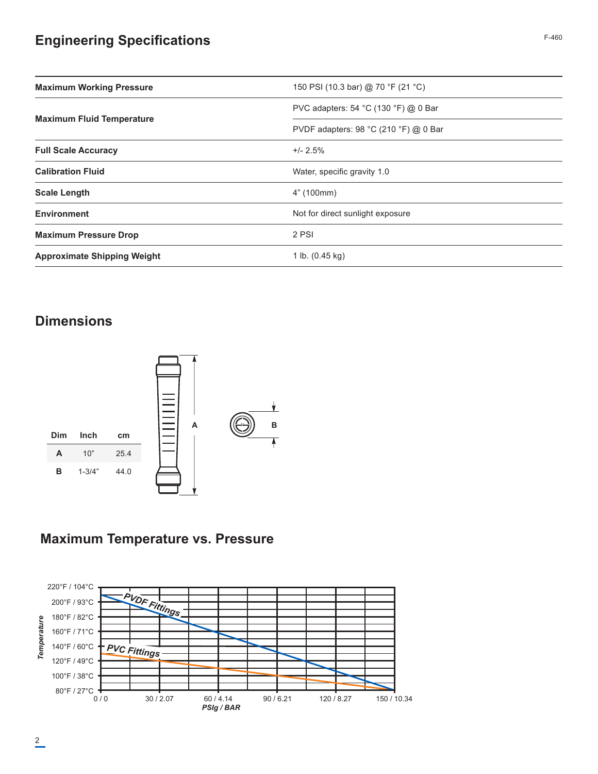# **Engineering Specifications** F-460

| <b>Maximum Working Pressure</b>    | 150 PSI (10.3 bar) @ 70 °F (21 °C)    |  |  |
|------------------------------------|---------------------------------------|--|--|
| <b>Maximum Fluid Temperature</b>   | PVC adapters: 54 °C (130 °F) @ 0 Bar  |  |  |
|                                    | PVDF adapters: 98 °C (210 °F) @ 0 Bar |  |  |
| <b>Full Scale Accuracy</b>         | $+/- 2.5%$                            |  |  |
| <b>Calibration Fluid</b>           | Water, specific gravity 1.0           |  |  |
| <b>Scale Length</b>                | 4" (100mm)                            |  |  |
| <b>Environment</b>                 | Not for direct sunlight exposure      |  |  |
| <b>Maximum Pressure Drop</b>       | 2 PSI                                 |  |  |
| <b>Approximate Shipping Weight</b> | 1 lb. $(0.45 \text{ kg})$             |  |  |

## **Dimensions**



### **Maximum Temperature vs. Pressure**

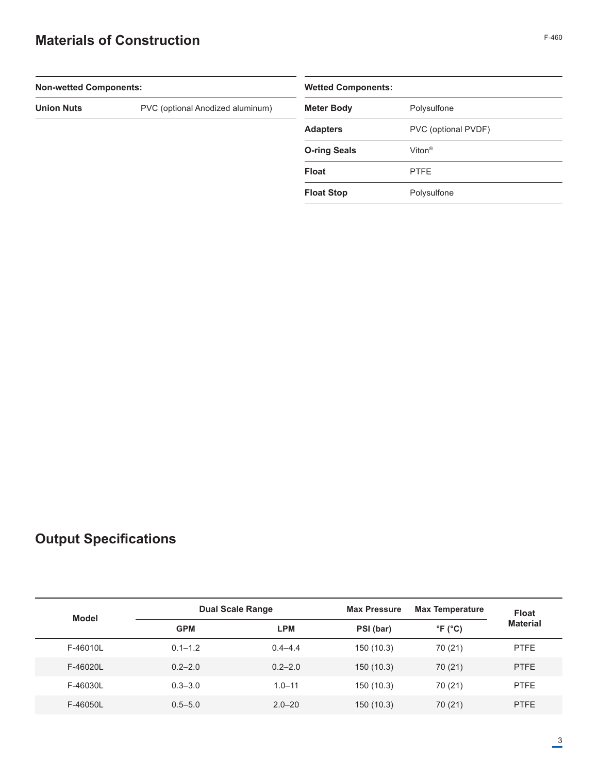# **Materials of Construction**

| <b>Non-wetted Components:</b>    |                     | <b>Wetted Components:</b> |  |  |
|----------------------------------|---------------------|---------------------------|--|--|
| PVC (optional Anodized aluminum) | <b>Meter Body</b>   | Polysulfone               |  |  |
|                                  | <b>Adapters</b>     | PVC (optional PVDF)       |  |  |
|                                  | <b>O-ring Seals</b> | Viton <sup>®</sup>        |  |  |
|                                  | <b>Float</b>        | <b>PTFE</b>               |  |  |
|                                  | <b>Float Stop</b>   | Polysulfone               |  |  |
|                                  |                     |                           |  |  |

# **Output Specifications**

| Model    |             | <b>Dual Scale Range</b> |           | <b>Max Temperature</b>     | <b>Float</b>    |
|----------|-------------|-------------------------|-----------|----------------------------|-----------------|
|          | <b>GPM</b>  | <b>LPM</b>              | PSI (bar) | $\degree$ F ( $\degree$ C) | <b>Material</b> |
| F-46010L | $0.1 - 1.2$ | $0.4 - 4.4$             | 150(10.3) | 70 (21)                    | <b>PTFE</b>     |
| F-46020L | $0.2 - 2.0$ | $0.2 - 2.0$             | 150(10.3) | 70 (21)                    | <b>PTFE</b>     |
| F-46030L | $0.3 - 3.0$ | $1.0 - 11$              | 150(10.3) | 70 (21)                    | <b>PTFE</b>     |
| F-46050L | $0.5 - 5.0$ | $2.0 - 20$              | 150(10.3) | 70 (21)                    | <b>PTFE</b>     |